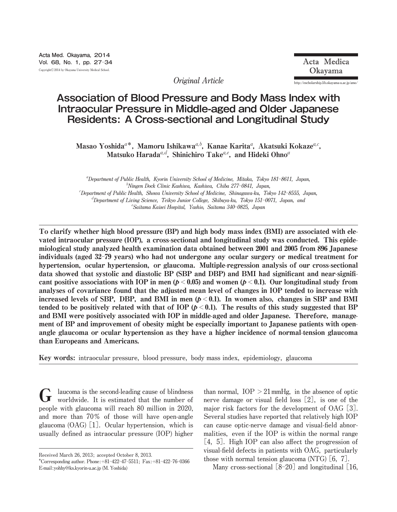**Original Article http:**//**escholarship.lib.okayama**-**u.ac.jp**/**amo**/

# **Association of Blood Pressure and Body Mass Index with Intraocular Pressure in Middle-aged and Older Japanese Residents: A Cross-sectional and Longitudinal Study**

Masao Yoshida ${}^{a*}$ , Mamoru Ishikawa ${}^{a,b}$ , Kanae Karita ${}^{a}$ , Akatsuki Kokaze ${}^{a,c},$ Matsuko Harada<sup>a,d</sup>, Shinichiro Take<sup>a,e</sup>, and Hideki Ohno<sup>a</sup>

a **Department of Public Health, Kyorin University School of Medicine, Mitaka, Tokyo 181**-**8611, Japan,** b **Ningen Dock Clinic Kashiwa, Kashiwa, Chiba 277**-**0841, Japan,** c **Department of Public Health, Showa University School of Medicine, Shinagawa**-**ku, Tokyo 142**-**8555, Japan,** d **Department of Living Science, Teikyo Junior College, Shibuya**-**ku, Tokyo 151**-**0071, Japan, and** e **Saitama Kaisei Hospital, Yashio, Saitama 340**-**0825, Japan**

To clarify whether high blood pressure (BP) and high body mass index (BMI) are associated with elevated intraocular pressure (IOP), a cross-sectional and longitudinal study was conducted. This epidemiological study analyzed health examination data obtained between 2001 and 2005 from 896 Japanese individuals (aged 32-79 years) who had not undergone any ocular surgery or medical treatment for hypertension, ocular hypertension, or glaucoma. Multiple-regression analysis of our cross-sectional data showed that systolic and diastolic BP (SBP and DBP) and BMI had significant and near-significant positive associations with IOP in men ( $p < 0.05$ ) and women ( $p < 0.1$ ). Our longitudinal study from analyses of covariance found that the adjusted mean level of changes in IOP tended to increase with increased levels of SBP, DBP, and BMI in men  $(p < 0.1)$ . In women also, changes in SBP and BMI tended to be positively related with that of IOP  $(p < 0.1)$ . The results of this study suggested that BP and BMI were positively associated with IOP in middle-aged and older Japanese. Therefore, management of BP and improvement of obesity might be especially important to Japanese patients with openangle glaucoma or ocular hypertension as they have a higher incidence of normal-tension glaucoma than Europeans and Americans.

Key words: **intraocular pressure, blood pressure, body mass index, epidemiology, glaucoma**

**laucoma is the second**-**leading cause of blindness worldwide. It is estimated that the number of people with glaucoma will reach 80 million in 2020, and more than 70**オ **of those will have open**-**angle glaucoma (OAG)** [**1**]**. Ocular hypertension, which is usually defined as intraocular pressure (IOP) higher** G

**than normal,**  $IOP > 21$  **mmHg,** in the absence of optic **nerve damage or visual field loss** [**2**]**, is one of the major risk factors for the development of OAG** [**3**]**. Several studies have reported that relatively high IOP can cause optic**-**nerve damage and visual**-**field abnormalities, even if the IOP is within the normal range** [**4, 5**]**. High IOP can also affect the progression of visual**-**field defects in patients with OAG, particularly those with normal tension glaucoma (NTG)** [**6, 7**]**.**

**Many cross**-**sectional** [**8**-**20**] **and longitudinal** [**16,**

**Received March 26, 2013; accepted October 8, 2013.**

**<sup>\*</sup>Corresponding author. Phone:**+**81**ン**422**ン**47**ン**5511; Fax:**+**81**ン**422**ン**76**ン**0366 E**-**mail:yohhy@ks.kyorin**-**u.ac.jp (M. Yoshida)**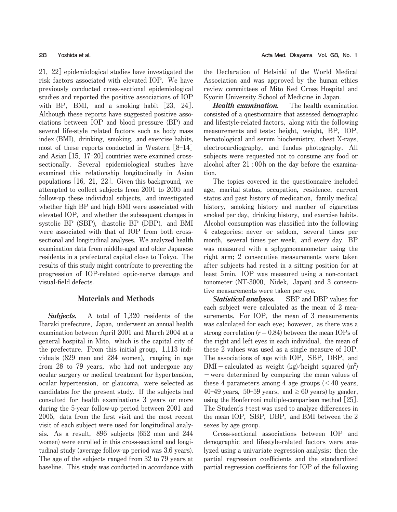**21, 22**] **epidemiological studies have investigated the risk factors associated with elevated IOP. We have previously conducted cross**-**sectional epidemiological studies and reported the positive associations of IOP with BP, BMI, and a smoking habit** [**23, 24**]**. Although these reports have suggested positive associations between IOP and blood pressure (BP) and several life**-**style related factors such as body mass index (BMI), drinking, smoking, and exercise habits, most of these reports conducted in Western** [**8**-**14**] **and Asian** [**15, 17**-**20**] **countries were examined crosssectionally. Several epidemiological studies have examined this relationship longitudinally in Asian populations** [**16, 21, 22**]**. Given this background, we attempted to collect subjects from 2001 to 2005 and follow**-**up these individual subjects, and investigated whether high BP and high BMI were associated with elevated IOP, and whether the subsequent changes in systolic BP (SBP), diastolic BP (DBP), and BMI were associated with that of IOP from both crosssectional and longitudinal analyses. We analyzed health examination data from middle**-**aged and older Japanese residents in a prefectural capital close to Tokyo. The results of this study might contribute to preventing the progression of IOP**-**related optic**-**nerve damage and visual**-**field defects.**

## Materials and Methods

Subjects. **A total of 1,320 residents of the Ibaraki prefecture, Japan, underwent an annual health examination between April 2001 and March 2004 at a general hospital in Mito, which is the capital city of the prefecture. From this initial group, 1,113 individuals (829 men and 284 women), ranging in age from 28 to 79 years, who had not undergone any ocular surgery or medical treatment for hypertension, ocular hypertension, or glaucoma, were selected as candidates for the present study. If the subjects had consulted for health examinations 3 years or more during the 5**-**year follow**-**up period between 2001 and 2005, data from the first visit and the most recent visit of each subject were used for longitudinal analysis. As a result, 896 subjects (652 men and 244 women) were enrolled in this cross**-**sectional and longitudinal study (average follow**-**up period was 3.6 years). The age of the subjects ranged from 32 to 79 years at baseline. This study was conducted in accordance with** **the Declaration of Helsinki of the World Medical Association and was approved by the human ethics review committees of Mito Red Cross Hospital and Kyorin University School of Medicine in Japan.**

Health examination. **The health examination consisted of a questionnaire that assessed demographic and lifestyle**-**related factors, along with the following measurements and tests: height, weight, BP, IOP, hematological and serum biochemistry, chest X**-**rays, electrocardiography, and fundus photography. All subjects were requested not to consume any food or alcohol after 21 : 00h on the day before the examination.**

**The topics covered in the questionnaire included age, marital status, occupation, residence, current status and past history of medication, family medical history, smoking history and number of cigarettes smoked per day, drinking history, and exercise habits. Alcohol consumption was classified into the following 4 categories: never or seldom, several times per month, several times per week, and every day. BP was measured with a sphygmomanometer using the right arm; 2 consecutive measurements were taken after subjects had rested in a sitting position for at least 5min. IOP was measured using a non**-**contact tonometer (NT**-**3000, Nidek, Japan) and 3 consecutive measurements were taken per eye.**

Statistical analyses. **SBP and DBP values for each subject were calculated as the mean of 2 measurements. For IOP, the mean of 3 measurements was calculated for each eye; however, as there was a strong correlation (r**=**0.84) between the mean IOPs of the right and left eyes in each individual, the mean of these 2 values was used as a single measure of IOP. The associations of age with IOP, SBP, DBP, and BMI**-**calculated as weight (kg)**/**height squared (m2 )** -**were determined by comparing the mean values of these 4 parameters among 4 age groups (**<**40 years,**  $40-49$  years,  $50-59$  years, and  $\geq 60$  years) by gender, **using the Bonferroni multiple**-**comparison method** [**25**]**. The Student**'**s t**-**test was used to analyze differences in the mean IOP, SBP, DBP, and BMI between the 2 sexes by age group.**

**Cross**-**sectional associations between IOP and demographic and lifestyle**-**related factors were analyzed using a univariate regression analysis; then the partial regression coefficients and the standardized partial regression coefficients for IOP of the following**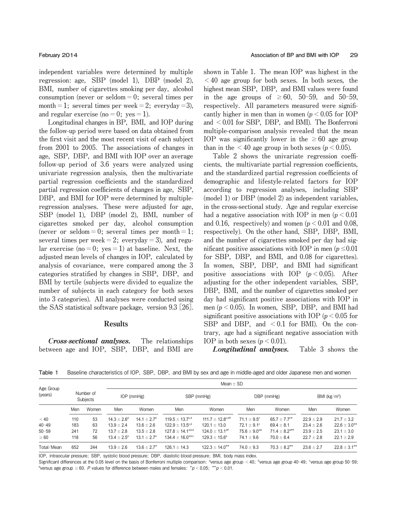**independent variables were determined by multiple regression: age, SBP (model 1), DBP (model 2), BMI, number of cigarettes smoking per day, alcohol consumption (never or seldom**=**0; several times per**  $m$  **month** = 1; **several times**  $per$  **week** = 2; **everyday** = 3), and **regular exercise** (no  $= 0$ ; **yes**  $= 1$ ).

**Longitudinal changes in BP, BMI, and IOP during the follow**-**up period were based on data obtained from the first visit and the most recent visit of each subject from 2001 to 2005. The associations of changes in age, SBP, DBP, and BMI with IOP over an average follow**-**up period of 3.6 years were analyzed using univariate regression analysis, then the multivariate partial regression coefficients and the standardized partial regression coefficients of changes in age, SBP, DBP, and BMI for IOP were determined by multipleregression analyses. These were adjusted for age, SBP (model 1), DBP (model 2), BMI, number of cigarettes smoked per day, alcohol consumption**  $(\text{never or seldom} = 0; \text{ several times per month} = 1;$ **several times per**  $\text{week} = 2$ ;  $\text{everyday} = 3$ ), and  $\text{regular} = 3$  $\alpha$  **lar exercise** (no = 0;  $yes = 1$ ) at baseline. Next, the **adjusted mean levels of changes in IOP, calculated by analysis of covariance, were compared among the 3 categories stratified by changes in SBP, DBP, and BMI by tertile (subjects were divided to equalize the number of subjects in each category for both sexes into 3 categories). All analyses were conducted using the SAS statistical software package, version 9.3** [**26**]**.**

### Results

Cross-sectional analyses. **The relationships between age and IOP, SBP, DBP, and BMI are** **shown in Table 1. The mean IOP was highest in the** <**40 age group for both sexes. In both sexes, the highest mean SBP, DBP, and BMI values were found**  $\text{in}$  **the age groups** of  $\geq 60$ , 50-59, and 50-59, **respectively. All parameters measured were significantly** higher in men than in women  $(p < 0.05$  for IOP **and** <**0.01 for SBP, DBP, and BMI). The Bonferroni multiple**-**comparison analysis revealed that the mean IOP** was significantly lower in the  $\geq 60$  age group **than** in the  $\leq 40$  age group in both sexes ( $p \leq 0.05$ ).

**Table 2 shows the univariate regression coefficients, the multivariate partial regression coefficients, and the standardized partial regression coefficients of demographic and lifestyle**-**related factors for IOP according to regression analyses, including SBP (model 1) or DBP (model 2) as independent variables, in the cross**-**sectional study. Age and regular exercise had a negative association with IOP in men (p**<**0.01 and 0.16, respectively) and women (p**<**0.01 and 0.08, respectively). On the other hand, SBP, DBP, BMI, and the number of cigarettes smoked per day had significant positive associations** with IOP in men  $(p \le 0.01)$ **for SBP, DBP, and BMI, and 0.08 for cigarettes). In women, SBP, DBP, and BMI had significant positive associations with IOP (p**<**0.05). After adjusting for the other independent variables, SBP, DBP, BMI, and the number of cigarettes smoked per day had significant positive associations with IOP in**  $m$ en ( $p < 0.05$ ). In women, SBP, DBP, and BMI had **significant positive associations with IOP (p**<**0.05 for SBP and DBP, and** <**0.1 for BMI). On the contrary, age had a significant negative association with IOP** in both sexes  $(p < 0.01)$ .

Longitudinal analyses. **Table 3 shows the**

**Table 1** Baseline characteristics of IOP, SBP, DBP, and BMI by sex and age in middle-aged and older Japanese men and women

|                      |                       |       |                      | $Mean + SD$               |                              |                            |                        |                             |                 |                   |  |  |  |  |  |
|----------------------|-----------------------|-------|----------------------|---------------------------|------------------------------|----------------------------|------------------------|-----------------------------|-----------------|-------------------|--|--|--|--|--|
| Age Group<br>(years) | Number of<br>Subjects |       | $IOP$ (mm $Hg$ )     |                           | SBP (mmHg)                   |                            | DBP (mmHg)             |                             | BMI ( $kg/m2$ ) |                   |  |  |  |  |  |
|                      | Men                   | Women | Men                  | Women                     | Men                          | Women                      | Men                    | Women                       | Men             | Women             |  |  |  |  |  |
| $<$ 40               | 110                   | 53    | $14.3 + 2.6^{\circ}$ | $14.1 + 2.7$ <sup>d</sup> | $119.5 + 13.7^{\circ,d}$     | $111.7 + 12.8^{\circ, d*}$ | $71.1 \pm 9.5^{\circ}$ | $65.7 + 7.7$ <sup>c*</sup>  | $22.9 + 2.9$    | $21.7 \pm 3.2$    |  |  |  |  |  |
| $40 - 49$            | 183                   | 63    | $13.9 + 2.4$         | $13.6 + 2.6$              | $122.9 + 13.5^{\circ,d}$     | $120.1 + 13.0$             | $72.1 \pm 9.1^{\circ}$ | $69.4 \pm 8.1$              | $23.4 \pm 2.6$  | $22.6 \pm 3.0***$ |  |  |  |  |  |
| $50 - 59$            | 241                   | 72    | $13.7 + 2.8$         | $13.5 + 2.8$              | $127.8 \pm 14.1^{\rm a,b,d}$ | $124.0 + 13.1^{a*}$        | $75.6 + 9.0^{a,b}$     | $71.4 + 8.2$ <sup>a**</sup> | $23.9 \pm 2.5$  | $23.1 + 3.0$      |  |  |  |  |  |
| $\geq 60$            | 118                   | 56    | $13.4 + 2.5^{\circ}$ | $13.1 \pm 2.7^{\circ}$    | $134.4 + 16.0^{a,b,c}$       | $129.3 + 15.6^{\circ}$     | $74.1 \pm 9.6$         | $70.0 \pm 8.4$              | $22.7 \pm 2.8$  | $22.1 \pm 2.9$    |  |  |  |  |  |
| Total/Mean           | 652                   | 244   | $13.9 \pm 2.6$       | $13.6 \pm 2.7^*$          | $126.1 + 14.3$               | $122.3 \pm 14.0***$        | $74.0 \pm 9.3$         | $70.3 \pm 8.2***$           | $23.6 \pm 2.7$  | $22.8 \pm 3.1***$ |  |  |  |  |  |

IOP, intraocular pressure; SBP, systolic blood pressure; DBP, diastolic blood pressure; BMI, body mass index.

Significant differences at the 0.05 level on the basis of Bonferroni multiple comparison: <sup>a</sup>versus age group < 40; <sup>b</sup>versus age group 40-49; °versus age group 50-59; <sup>d</sup>versus age group  $\geq 60$ . P values for difference between males and females:  $*p < 0.05;$   $*p < 0.01$ .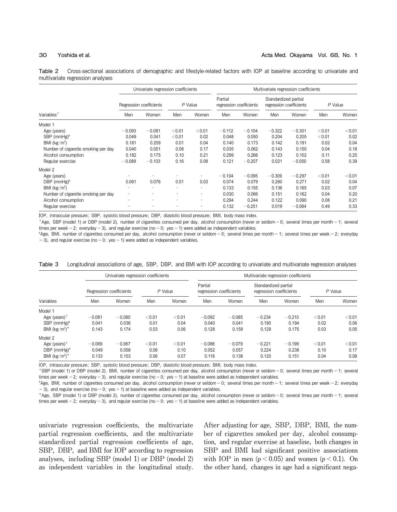**Table 2** Cross-sectional associations of demographic and lifestyle-related factors with IOP at baseline according to univariate and multivariate regression analyses

|                                     | Univariate regression coefficients |                         |         |        | Multivariate regression coefficients |          |                                                 |          |         |        |
|-------------------------------------|------------------------------------|-------------------------|---------|--------|--------------------------------------|----------|-------------------------------------------------|----------|---------|--------|
|                                     |                                    | Regression coefficients | P Value |        | Partial<br>regression coefficients   |          | Standardized partial<br>regression coefficients |          | P Value |        |
| Variables <sup>1</sup>              | Men                                | Women                   | Men     | Women  | Men                                  | Women    | Men                                             | Women    | Men     | Women  |
| Model 1                             |                                    |                         |         |        |                                      |          |                                                 |          |         |        |
| Age (years)                         | $-0.093$                           | $-0.081$                | < 0.01  | < 0.01 | $-0.112$                             | $-0.104$ | $-0.322$                                        | $-0.301$ | < 0.01  | < 0.01 |
| SBP $(mmHg)^*$                      | 0.049                              | 0.041                   | < 0.01  | 0.02   | 0.048                                | 0.050    | 0.204                                           | 0.205    | < 0.01  | 0.02   |
| BMI $(kg/m^2)$                      | 0.181                              | 0.209                   | 0.01    | 0.04   | 0.140                                | 0.173    | 0.142                                           | 0.191    | 0.02    | 0.04   |
| Number of cigarette smoking per day | 0.040                              | 0.051                   | 0.08    | 0.17   | 0.035                                | 0.062    | 0.143                                           | 0.150    | 0.04    | 0.18   |
| Alcohol consumption                 | 0.182                              | 0.175                   | 0.10    | 0.21   | 0.299                                | 0.266    | 0.123                                           | 0.102    | 0.11    | 0.25   |
| Regular exercise                    | $-0.089$                           | $-0.103$                | 0.16    | 0.08   | 0.121                                | $-0.207$ | 0.021                                           | $-0.050$ | 0.58    | 0.39   |
| Model 2                             |                                    |                         |         |        |                                      |          |                                                 |          |         |        |
| Age (years)                         | ٠                                  |                         |         | ٠      | $-0.104$                             | $-0.095$ | $-0.309$                                        | $-0.297$ | < 0.01  | < 0.01 |
| DBP $(mmHg)^*$                      | 0.061                              | 0.076                   | 0.01    | 0.03   | 0.074                                | 0.079    | 0.260                                           | 0.271    | 0.02    | 0.04   |
| BMI ( $kg/m2$ )                     | ٠                                  | $\cdot$                 |         | ٠      | 0.133                                | 0.155    | 0.136                                           | 0.165    | 0.03    | 0.07   |
| Number of cigarette smoking per day | ٠                                  |                         |         | ٠      | 0.030                                | 0.066    | 0.151                                           | 0.162    | 0.04    | 0.20   |
| Alcohol consumption                 |                                    |                         |         | ٠      | 0.294                                | 0.244    | 0.122                                           | 0.090    | 0.08    | 0.21   |
| Regular exercise                    |                                    |                         |         |        | 0.132                                | $-0.251$ | 0.019                                           | $-0.064$ | 0.49    | 0.33   |

IOP, intraocular pressure; SBP, systolic blood pressure; DBP, diastolic blood pressure; BMI, body mass index.

†Age, SBP (model 1) or DBP (model 2), number of cigarettes consumed per day, alcohol consumption (never or seldom=0; several times per month=1; several times per week = 2; everyday = 3), and regular exercise ( $no=0$ ; yes = 1) were added as independent variables.

# Age, BMI, number of cigarettes consumed per day, alcohol consumption (never or seldom=0; several times per month=1; several times per week=2; everyday = 3), and regular exercise (no = 0; yes = 1) were added as independent variables.

|                                        | Univariate regression coefficients |                         |         |        | Multivariate regression coefficients |          |                                                 |          |         |        |  |
|----------------------------------------|------------------------------------|-------------------------|---------|--------|--------------------------------------|----------|-------------------------------------------------|----------|---------|--------|--|
|                                        |                                    | Regression coefficients | P Value |        | Partial<br>regression coefficients   |          | Standardized partial<br>regression coefficients |          | P Value |        |  |
| Variables                              | Men                                | Women                   | Men     | Women  | Men                                  | Women    | Men                                             | Women    | Men     | Women  |  |
| Model 1                                |                                    |                         |         |        |                                      |          |                                                 |          |         |        |  |
| Age (vears) $T$                        | $-0.081$                           | $-0.080$                | < 0.01  | < 0.01 | $-0.092$                             | $-0.085$ | $-0.234$                                        | $-0.210$ | < 0.01  | < 0.01 |  |
| SBP $(mmHg)^*$                         | 0.041                              | 0.036                   | 0.01    | 0.04   | 0.040                                | 0.041    | 0.190                                           | 0.194    | 0.02    | 0.06   |  |
| BMI $(kg/m^2)^*$                       | 0.143                              | 0.174                   | 0.03    | 0.06   | 0.128                                | 0.159    | 0.129                                           | 0.175    | 0.03    | 0.05   |  |
| Model 2                                |                                    |                         |         |        |                                      |          |                                                 |          |         |        |  |
| Age (years) $T$                        | $-0.069$                           | $-0.067$                | < 0.01  | < 0.01 | $-0.088$                             | $-0.079$ | $-0.221$                                        | $-0.199$ | < 0.01  | < 0.01 |  |
| $DBP$ (mmHg) <sup><math>#</math></sup> | 0.049                              | 0.058                   | 0.08    | 0.10   | 0.052                                | 0.057    | 0.224                                           | 0.238    | 0.10    | 0.17   |  |
| BMI $(kg/m^2)^*$                       | 0.133                              | 0.153                   | 0.06    | 0.07   | 0.118                                | 0.138    | 0.120                                           | 0.151    | 0.04    | 0.08   |  |

**Table 3** Longitudinal associations of age, SBP, DBP, and BMI with IOP according to univariate and multivariate regression analyses

IOP, intraocular pressure; SBP, systolic blood pressure; DBP, diastolic blood pressure; BMI, body mass index.

†SBP (model 1) or DBP (model 2), BMI, number of cigarettes consumed per day, alcohol consumption (never or seldom=0; several times per month=1; several times per week = 2; everyday = 3), and regular exercise (no = 0; yes = 1) at baseline were added as independent variables.

# Age, BMI, number of cigarettes consumed per day, alcohol consumption (never or seldom=0; several times per month=1; several times per week=2; everyday  $=$  3), and regular exercise (no  $=$  0; yes  $=$  1) at baseline were added as independent variables.

\*Age, SBP (model 1) or DBP (model 2), number of cigarettes consumed per day, alcohol consumption (never or seldom=0; several times per month=1; several times per week = 2; everyday = 3), and regular exercise (no = 0; yes = 1) at baseline were added as independent variables.

**univariate regression coefficients, the multivariate partial regression coefficients, and the multivariate standardized partial regression coefficients of age, SBP, DBP, and BMI for IOP according to regression analyses, including SBP (model 1) or DBP (model 2) as independent variables in the longitudinal study.**

**After adjusting for age, SBP, DBP, BMI, the number of cigarettes smoked per day, alcohol consumption, and regular exercise at baseline, both changes in SBP and BMI had significant positive associations** with IOP in men  $(p < 0.05)$  and women  $(p < 0.1)$ . On **the other hand, changes in age had a significant nega**-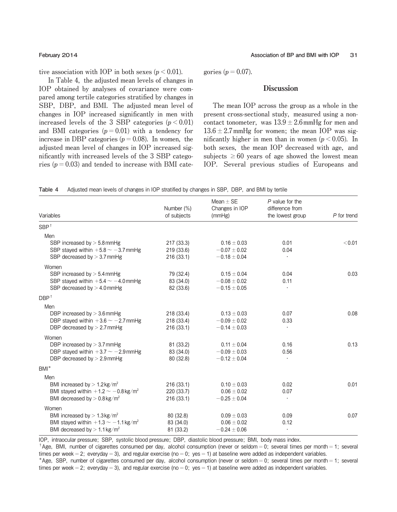**tive** association with IOP in both sexes  $(p < 0.01)$ .

**In Table 4, the adjusted mean levels of changes in IOP obtained by analyses of covariance were compared among tertile categories stratified by changes in SBP, DBP, and BMI. The adjusted mean level of changes in IOP increased significantly in men with increased levels of the 3 SBP categories (p**<**0.01)** and **BMI** categories  $(p = 0.01)$  with a tendency for **increase** in DBP categories ( $p = 0.08$ ). In women, the **adjusted mean level of changes in IOP increased significantly with increased levels of the 3 SBP categories (p**=**0.03) and tended to increase with BMI cate**- **gories**  $(p = 0.07)$ .

# Discussion

**The mean IOP across the group as a whole in the present cross**-**sectional study, measured using a noncontact tonometer,** was  $13.9 \pm 2.6$  mmHg for men and  $13.6 \pm 2.7$  mmHg for women; the mean IOP was sig**nificantly higher in men than in women (p**<**0.05). In both sexes, the mean IOP decreased with age, and**  $\text{subjects} \geq 60 \text{ years of age showed the lowest mean}$ **IOP. Several previous studies of Europeans and**

| Table 4 |  |  |  | Adjusted mean levels of changes in IOP stratified by changes in SBP, DBP, and BMI by tertile |  |  |  |  |
|---------|--|--|--|----------------------------------------------------------------------------------------------|--|--|--|--|
|---------|--|--|--|----------------------------------------------------------------------------------------------|--|--|--|--|

|                                                                                                    |                           | Mean $\pm$ SE            | $P$ value for the                   |             |
|----------------------------------------------------------------------------------------------------|---------------------------|--------------------------|-------------------------------------|-------------|
| Variables                                                                                          | Number (%)<br>of subjects | Changes in IOP<br>(mmHg) | difference from<br>the lowest group | P for trend |
| SBP <sup>†</sup>                                                                                   |                           |                          |                                     |             |
| Men                                                                                                |                           |                          |                                     |             |
| SBP increased by $> 5.8$ mmHg                                                                      | 217 (33.3)                | $0.16 \pm 0.03$          | 0.01                                | < 0.01      |
| SBP stayed within $+5.8 \sim -3.7$ mmHg                                                            | 219 (33.6)                | $-0.07\pm0.02$           | 0.04                                |             |
| SBP decreased by $>$ 3.7 mmHg                                                                      | 216(33.1)                 | $-0.18 \pm 0.04$         | $\cdot$                             |             |
| Women                                                                                              |                           |                          |                                     |             |
| SBP increased by $> 5.4$ mmHg                                                                      | 79 (32.4)                 | $0.15 \pm 0.04$          | 0.04                                | 0.03        |
| SBP stayed within $+5.4 \sim -4.0$ mmHg                                                            | 83 (34.0)                 | $-0.08 \pm 0.02$         | 0.11                                |             |
| SBP decreased by $>$ 4.0 mmHg                                                                      | 82 (33.6)                 | $-0.15 \pm 0.05$         |                                     |             |
| DBP <sup>†</sup>                                                                                   |                           |                          |                                     |             |
| Men                                                                                                |                           |                          |                                     |             |
| DBP increased by $>$ 3.6 mmHg                                                                      | 218 (33.4)                | $0.13 \pm 0.03$          | 0.07                                | 0.08        |
| DBP stayed within $+3.6 \sim -2.7$ mmHg                                                            | 218 (33.4)                | $-0.09 \pm 0.02$         | 0.33                                |             |
| DBP decreased by $> 2.7$ mmHg                                                                      | 216(33.1)                 | $-0.14 \pm 0.03$         |                                     |             |
| Women                                                                                              |                           |                          |                                     |             |
| DBP increased by $>$ 3.7 mmHg                                                                      | 81 (33.2)                 | $0.11 \pm 0.04$          | 0.16                                | 0.13        |
| DBP stayed within $+3.7 \sim -2.9$ mmHg                                                            | 83 (34.0)                 | $-0.09 \pm 0.03$         | 0.56                                |             |
| DBP decreased by $> 2.9$ mmHg                                                                      | 80 (32.8)                 | $-0.12 \pm 0.04$         | $\cdot$                             |             |
| $BM*$                                                                                              |                           |                          |                                     |             |
| Men                                                                                                |                           |                          |                                     |             |
| BMI increased by $> 1.2$ kg/m <sup>2</sup>                                                         | 216(33.1)                 | $0.10 \pm 0.03$          | 0.02                                | 0.01        |
| BMI stayed within $+1.2 \sim -0.8$ kg/m <sup>2</sup>                                               | 220 (33.7)                | $0.06\pm0.02$            | 0.07                                |             |
| BMI decreased by $> 0.8 \text{ kg/m}^2$                                                            | 216(33.1)                 | $-0.25 \pm 0.04$         | $\bullet$                           |             |
| Women                                                                                              |                           |                          |                                     |             |
| BMI increased by $> 1.3 \text{ kg/m}^2$                                                            | 80 (32.8)                 | $0.09 \pm 0.03$          | 0.09                                | 0.07        |
| BMI stayed within $+1.3 \sim -1.1$ kg/m <sup>2</sup><br>BMI decreased by $> 1.1$ kg/m <sup>2</sup> | 83 (34.0)                 | $0.06 \pm 0.02$          | 0.12<br>$\bullet$                   |             |
|                                                                                                    | 81 (33.2)                 | $-0.24 \pm 0.06$         |                                     |             |

IOP, intraocular pressure; SBP, systolic blood pressure; DBP, diastolic blood pressure; BMI, body mass index.

<sup>†</sup>Age, BMI, number of cigarettes consumed per day, alcohol consumption (never or seldom = 0; several times per month = 1; several times per week = 2; everyday = 3), and regular exercise (no = 0; yes = 1) at baseline were added as independent variables. \*Age, SBP, number of cigarettes consumed per day, alcohol consumption (never or seldom = 0; several times per month = 1; several

times per week = 2; everyday = 3), and regular exercise (no = 0; yes = 1) at baseline were added as independent variables.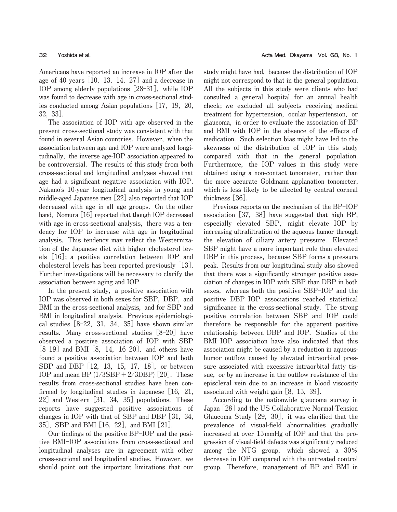**Americans have reported an increase in IOP after the age of 40 years** [**10, 13, 14, 27**] **and a decrease in IOP among elderly populations** [**28**-**31**]**, while IOP was found to decrease with age in cross**-**sectional studies conducted among Asian populations** [**17, 19, 20, 32, 33**]**.**

**The association of IOP with age observed in the present cross**-**sectional study was consistent with that found in several Asian countries. However, when the association between age and IOP were analyzed longitudinally, the inverse age**-**IOP association appeared to be controversial. The results of this study from both cross**-**sectional and longitudinal analyses showed that age had a significant negative association with IOP. Nakano**'**s 10**-**year longitudinal analysis in young and middle**-**aged Japanese men** [**22**] **also reported that IOP decreased with age in all age groups. On the other hand, Nomura** [**16**] **reported that though IOP decreased with age in cross**-**sectional analysis, there was a tendency for IOP to increase with age in longitudinal analysis. This tendency may reflect the Westernization of the Japanese diet with higher cholesterol levels** [**16**]**; a positive correlation between IOP and cholesterol levels has been reported previously** [**13**]**. Further investigations will be necessary to clarify the association between aging and IOP.**

**In the present study, a positive association with IOP was observed in both sexes for SBP, DBP, and BMI in the cross**-**sectional analysis, and for SBP and BMI in longitudinal analysis. Previous epidemiological studies** [**8**-**22, 31, 34, 35**] **have shown similar results. Many cross**-**sectional studies** [**8**-**20**] **have observed a positive association of IOP with SBP** [**8**-**19**] **and BMI** [**8, 14, 16**-**20**]**, and others have found a positive association between IOP and both SBP and DBP** [**12, 13, 15, 17, 18**]**, or between IOP and mean BP (1**/**3SBP**+**2**/**3DBP)** [**20**]**. These results from cross**-**sectional studies have been confirmed by longitudinal studies in Japanese** [**16, 21, 22**] **and Western** [**31, 34, 35**] **populations. These reports have suggested positive associations of changes in IOP with that of SBP and DBP** [**31, 34, 35**]**, SBP and BMI** [**16, 22**]**, and BMI** [**21**]**.**

**Our findings of the positive BP**-**IOP and the positive BMI**-**IOP associations from cross**-**sectional and longitudinal analyses are in agreement with other cross**-**sectional and longitudinal studies. However, we should point out the important limitations that our** **study might have had, because the distribution of IOP might not correspond to that in the general population. All the subjects in this study were clients who had consulted a general hospital for an annual health check; we excluded all subjects receiving medical treatment for hypertension, ocular hypertension, or glaucoma, in order to evaluate the association of BP and BMI with IOP in the absence of the effects of medication. Such selection bias might have led to the skewness of the distribution of IOP in this study compared with that in the general population. Furthermore, the IOP values in this study were obtained using a non**-**contact tonometer, rather than the more accurate Goldmann applanation tonometer, which is less likely to be affected by central corneal thickness** [**36**]**.**

**Previous reports on the mechanism of the BP**-**IOP association** [**37, 38**] **have suggested that high BP, especially elevated SBP, might elevate IOP by increasing ultrafiltration of the aqueous humor through the elevation of ciliary artery pressure. Elevated SBP might have a more important role than elevated DBP in this process, because SBP forms a pressure peak. Results from our longitudinal study also showed that there was a significantly stronger positive association of changes in IOP with SBP than DBP in both sexes, whereas both the positive SBP**-**IOP and the positive DBP**-**IOP associations reached statistical significance in the cross**-**sectional study. The strong positive correlation between SBP and IOP could therefore be responsible for the apparent positive relationship between DBP and IOP. Studies of the BMI**-**IOP association have also indicated that this association might be caused by a reduction in aqueoushumor outflow caused by elevated intraorbital pressure associated with excessive intraorbital fatty tissue, or by an increase in the outflow resistance of the episcleral vein due to an increase in blood viscosity associated with weight gain** [**8, 15, 39**]**.**

**According to the nationwide glaucoma survey in Japan** [**28**] **and the US Collaborative Normal**-**Tension Glaucoma Study** [**29, 30**]**, it was clarified that the prevalence of visual**-**field abnormalities gradually increased at over 15mmHg of IOP and that the progression of visual**-**field defects was significantly reduced among the NTG group, which showed a 30**オ **decrease in IOP compared with the untreated control group. Therefore, management of BP and BMI in**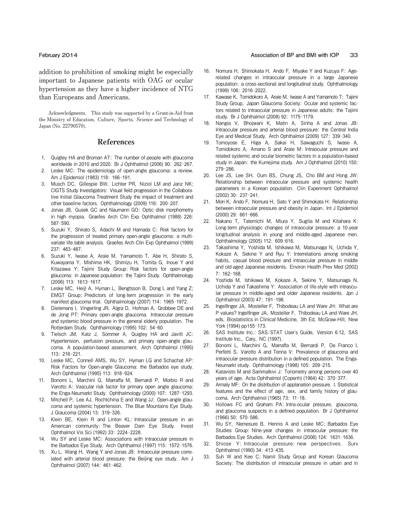**addition to prohibition of smoking might be especially important to Japanese patients with OAG or ocular hypertension as they have a higher incidence of NTG than Europeans and Americans.**

**Acknowledgments. This study was supported by a Grant**-**in**-**Aid from the Ministry of Education, Culture, Sports, Science and Technology of Japan (No. 22790570).**

### References

- 1. Quigley HA and Broman AT: The number of people with glaucoma worldwide in 2010 and 2020. Br J Ophthalmol (2006) 90: 262-267.
- 2. Leske MC: The epidemiology of open-angle glaucoma: a review. Am J Epidemiol (1983) 118: 166-191.
- 3. Musch DC, Gillespie BW, Lichter PR, Niziol LM and Janz NK; CIGTS Study Investigators: Visual field progression in the Collaborative Initial Glaucoma Treatment Study the impact of treatment and other baseline factors. Ophthalmology (2009) 116: 200-207.
- 4. Jonas JB, Gusek GC and Naumann GO: Optic disk morphometry in high myopia. Graefes Arch Clin Exp Ophthalmol (1988) 226: 587-590.
- 5. Suzuki Y, Shirato S, Adachi M and Hamada C: Risk factors for the progression of treated primary open-angle glaucoma: a multivariate life-table analysis. Graefes Arch Clin Exp Ophthalmol (1999) 237: 463-467.
- Suzuki Y, Iwase A, Araie M, Yamamoto T, Abe H, Shirato S, Kuwayama Y, Mishima HK, Shimizu H, Tomita G, Inoue Y and Kitazawa Y; Tajimi Study Group: Risk factors for open-angle glaucoma: in Japanese population: the Tajimi Study. Ophthalmology (2006) 113: 1613-1617.
- 7. Leske MC, Heijl A, Hyman L, Bengtsson B, Dong L and Yang Z; EMGT Group: Predictors of long-term progression in the early manifest glaucoma trial. Ophthalmology (2007) 114: 1965-1972.
- 8. Dielemans I, Vingerling JR, Algra D, Hofman A, Grobbee DE and de Jong PT: Primary open-angle glaucoma. Intraocular pressure and systemic blood pressure in the general elderly population. The Rotterdam Study. Ophthalmology (1995) 102: 54-60.
- Tielsch JM, Katz J, Sommer A, Quigley HA and Javitt JC: Hypertension, perfusion pressure, and primary open-angle glaucoma. A population-based assessment. Arch Ophthalmol (1995) 113: 216-221.
- 10. Leske MC, Connell AMS, Wu SY, Hyman LG and Schachat AP: Risk Factors for Open-angle Glaucoma: the Barbados eye study. Arch Ophthalmol (1995) 113: 918-924.
- 11. Bonomi L, Marchini G, Marraffa M, Bernardi P, Morbio R and Varotto A: Vascular risk factor for primary open angle glaucoma: the Enga-Neumarkt Study. Ophthalmology (2000) 107: 1287-1293.
- 12. Mitchell P, Lee AJ, Rochtchina E and Wang JJ: Open-angle glaucoma and systemic hypertension. The Blue Mountains Eye Study. J Glaucoma (2004) 13: 319-326.
- 13. Klein BE, Klein R and Linton KL: Intraocular pressure in an American community: The Beaver Dam Eye Study. Invest Ophthalmol Vis Sci (1992) 33: 2224-2228.
- 14. Wu SY and Leske MC: Associations with intraocular pressure in the Barbados Eye Study. Arch Ophthalmol (1997) 115: 1572-1576.
- 15. Xu L, Wang H, Wang Y and Jonas JB: Intraocular pressure correlated with arterial blood pressure: the Beijing eye study. Am J Ophthalmol (2007) 144: 461-462.

### **February** 2014 **Association of BP and BMI with IOP** 33

- 16. Nomura H, Shimokata H, Ando F, Miyake Y and Kuzuya F: Agerelated changes in intraocular pressure in a large Japanese population: a cross-sectional and longitudinal study. Ophthalmology (1999) 106: 2016-2022.
- 17. Kawase K, Tomidokoro A, Araie M, Iwase A and Yamamoto T; Tajimi Study Group, Japan Glaucoma Society: Ocular and systemic factors related to intraocular pressure in Japanese adults: the Tajimi study. Br J Ophthalmol (2008) 92: 1175-1179.
- 18. Nangia V, Bhojwani K, Matin A, Sinha A and Jonas JB: Intraocular pressure and arterial blood pressure: the Central India Eye and Medical Study. Arch Ophthalmol (2009) 127: 339-340.
- 19. Tomoyose E, Higa A, Sakai H, Sawaguchi S, Iwase A, Tomidokoro A, Amano S and Araie M: Intraocular pressure and related systemic and ocular biometric factors in a population-based study in Japan: the Kumejima study. Am J Ophthalmol (2010) 150: 279-286.
- 20. Lee JS, Lee SH, Oum BS, Chung JS, Cho BM and Hong JW: Relationship between intraocular pressure and systemic health parameters in a Korean population. Clin Experiment Ophthalmol (2002) 30: 237-241.
- 21. Mori K, Ando F, Nomura H, Sato Y and Shimokata H: Relationship between intraocular pressure and obesity in Japan. Int J Epidemiol (2000) 29: 661-666.
- 22. Nakano T, Tatemichi M, Miura Y, Sugita M and Kitahara K: Long-term physiologic changes of intraocular pressure: a 10-year longitudinal analysis in young and middle-aged Japanese men. Ophthalmology (2005) 112: 609-616.
- 23. Takashima Y, Yoshida M, Ishikawa M, Matsunaga N, Uchida Y, Kokaze A, Sekine Y and Ryu Y: Interrelations among smoking habits, casual blood pressure and intraocular pressure in middle and old-aged Japanese residents. Environ Health Prev Med (2002)  $7: 162 - 168$
- 24. Yoshida M, Ishikawa M, Kokaze A, Sekine Y, Matsunaga N, Uchida Y and Takashima Y: Association of life-style with intraocular pressure in middle-aged and older Japanese residents. Jpn J Ophthalmol (2003) 47: 191-198.
- 25. Ingelfinger JA, Mosteller F, Thibodeau LA and Ware JH: What are P values? Ingelfinger JA, Mosteller F, Thibodeau LA and Ware JH, eds, Biostatistics in Clinical Medicine, 3th Ed, McGraw-Hill, New York (1994) pp155-173.
- 26. SAS Institute Inc.: SAS/STAT User's Guide, Version 6.12, SAS Institute Inc., Cary, NC (1997).
- 27. Bonomi L, Marchini G, Marraffa M, Bernardi P, De Franco I, Perfetti S, Varotto A and Tenna V: Prevalence of glaucoma and intraocular pressure distribution in a defined population. The Enga-Neumarkt study. Ophthalmology (1998) 105: 209-215.
- 28. Katavisto M and Sammalkivi J: Tonometry among persons over 40 years of age. Acta Ophthalmol (Copenh) (1964) 42: 370-377.
- 29. Armaly MF: On the distribution of applanation pressure. I. Statistical features and the effect of age, sex, and family history of glaucoma. Arch Ophthalmol (1965) 73: 11-18.
- 30. Hollows FC and Graham PA: Intra-ocular pressure, glaucoma, and glaucoma suspects in a defined population. Br J Ophthalmol (1966) 50: 570-586.
- 31. Wu SY, Nemesure B, Hennis A and Leske MC; Barbados Eye Studies Group: Nine-year changes in intraocular pressure: the Barbados Eye Studies. Arch Ophthalmol (2006) 124: 1631-1636.
- 32. Shiose Y: Intraocular pressure: new perspectives. Surv Ophthalmol (1990) 34: 413-435.
- 33. Suh W and Kee C; Namil Study Group and Korean Glaucoma Society: The distribution of intraocular pressure in urban and in